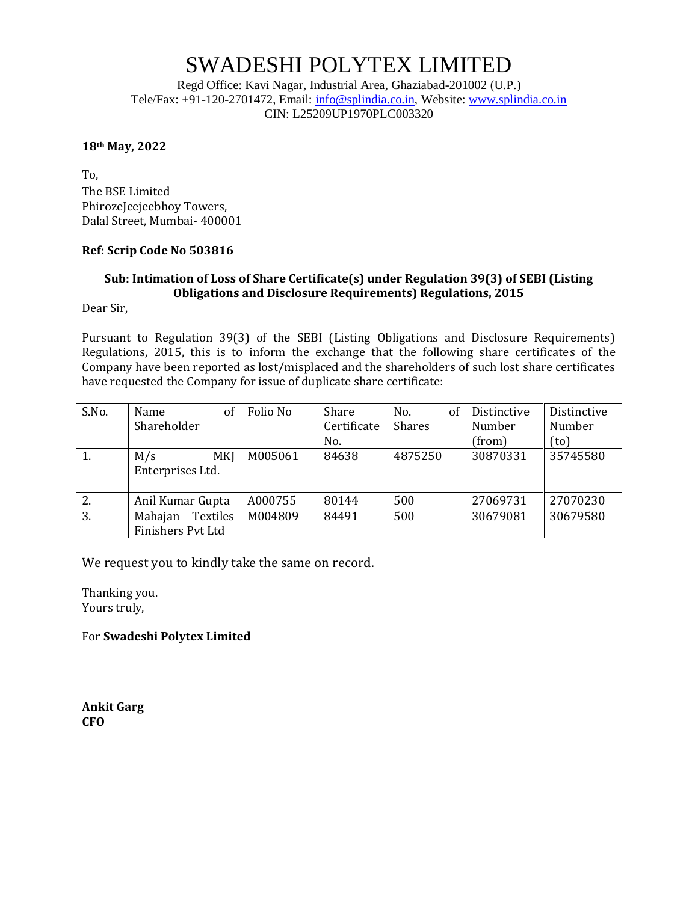## SWADESHI POLYTEX LIMITED

Regd Office: Kavi Nagar, Industrial Area, Ghaziabad-201002 (U.P.) Tele/Fax: +91-120-2701472, Email: [info@splindia.co.in,](mailto:info@splindia.co.in) Website: [www.splindia.co.in](http://www.splindia.co.in/) CIN: L25209UP1970PLC003320

#### **18th May, 2022**

To, The BSE Limited PhirozeJeejeebhoy Towers, Dalal Street, Mumbai- 400001

### **Ref: Scrip Code No 503816**

### **Sub: Intimation of Loss of Share Certificate(s) under Regulation 39(3) of SEBI (Listing Obligations and Disclosure Requirements) Regulations, 2015**

Dear Sir,

Pursuant to Regulation 39(3) of the SEBI (Listing Obligations and Disclosure Requirements) Regulations, 2015, this is to inform the exchange that the following share certificates of the Company have been reported as lost/misplaced and the shareholders of such lost share certificates have requested the Company for issue of duplicate share certificate:

| S.No. | of<br>Name<br>Shareholder                | Folio No | Share<br>Certificate<br>No. | <sub>of</sub><br>No.<br>Shares | Distinctive<br>Number<br>(from) | Distinctive<br>Number<br>(to) |
|-------|------------------------------------------|----------|-----------------------------|--------------------------------|---------------------------------|-------------------------------|
| 1.    | <b>MKI</b><br>M/s<br>Enterprises Ltd.    | M005061  | 84638                       | 4875250                        | 30870331                        | 35745580                      |
| 2.    | Anil Kumar Gupta                         | A000755  | 80144                       | 500                            | 27069731                        | 27070230                      |
| 3.    | Textiles<br>Mahajan<br>Finishers Pvt Ltd | M004809  | 84491                       | 500                            | 30679081                        | 30679580                      |

We request you to kindly take the same on record.

Thanking you. Yours truly,

For **Swadeshi Polytex Limited**

**Ankit Garg CFO**